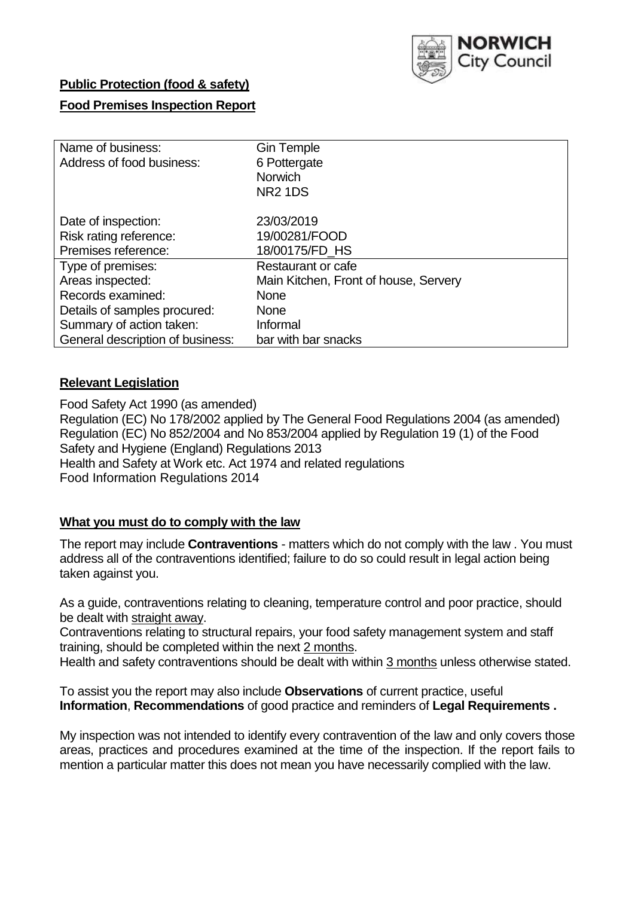

# **Public Protection (food & safety)**

### **Food Premises Inspection Report**

| Name of business:                | <b>Gin Temple</b>                     |
|----------------------------------|---------------------------------------|
| Address of food business:        | 6 Pottergate                          |
|                                  | <b>Norwich</b>                        |
|                                  | <b>NR2 1DS</b>                        |
| Date of inspection:              | 23/03/2019                            |
| Risk rating reference:           | 19/00281/FOOD                         |
| Premises reference:              | 18/00175/FD_HS                        |
| Type of premises:                | Restaurant or cafe                    |
| Areas inspected:                 | Main Kitchen, Front of house, Servery |
| Records examined:                | None                                  |
| Details of samples procured:     | <b>None</b>                           |
| Summary of action taken:         | Informal                              |
| General description of business: | bar with bar snacks                   |

### **Relevant Legislation**

Food Safety Act 1990 (as amended) Regulation (EC) No 178/2002 applied by The General Food Regulations 2004 (as amended) Regulation (EC) No 852/2004 and No 853/2004 applied by Regulation 19 (1) of the Food Safety and Hygiene (England) Regulations 2013 Health and Safety at Work etc. Act 1974 and related regulations Food Information Regulations 2014

### **What you must do to comply with the law**

The report may include **Contraventions** - matters which do not comply with the law . You must address all of the contraventions identified; failure to do so could result in legal action being taken against you.

As a guide, contraventions relating to cleaning, temperature control and poor practice, should be dealt with straight away.

Contraventions relating to structural repairs, your food safety management system and staff training, should be completed within the next 2 months.

Health and safety contraventions should be dealt with within 3 months unless otherwise stated.

To assist you the report may also include **Observations** of current practice, useful **Information**, **Recommendations** of good practice and reminders of **Legal Requirements .**

My inspection was not intended to identify every contravention of the law and only covers those areas, practices and procedures examined at the time of the inspection. If the report fails to mention a particular matter this does not mean you have necessarily complied with the law.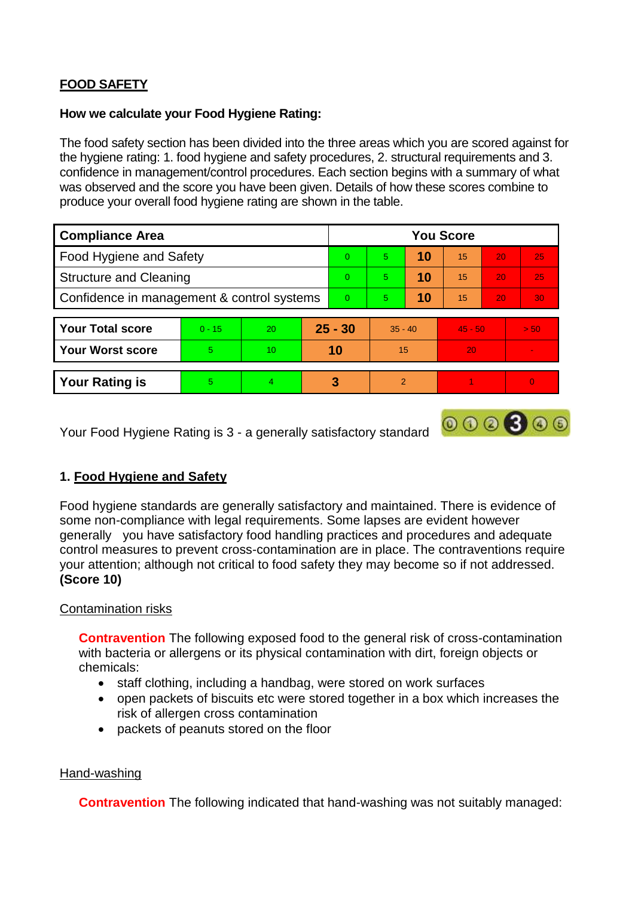# **FOOD SAFETY**

### **How we calculate your Food Hygiene Rating:**

The food safety section has been divided into the three areas which you are scored against for the hygiene rating: 1. food hygiene and safety procedures, 2. structural requirements and 3. confidence in management/control procedures. Each section begins with a summary of what was observed and the score you have been given. Details of how these scores combine to produce your overall food hygiene rating are shown in the table.

| <b>Compliance Area</b>                     |          |    |           | <b>You Score</b> |                |    |           |    |                          |  |  |
|--------------------------------------------|----------|----|-----------|------------------|----------------|----|-----------|----|--------------------------|--|--|
| Food Hygiene and Safety                    |          |    |           | $\Omega$         | 5              | 10 | 15        | 20 | 25                       |  |  |
| <b>Structure and Cleaning</b>              |          |    | $\Omega$  | 5                | 10             | 15 | 20        | 25 |                          |  |  |
| Confidence in management & control systems |          |    | $\Omega$  | 5                | 10             | 15 | 20        | 30 |                          |  |  |
|                                            |          |    |           |                  |                |    |           |    |                          |  |  |
| <b>Your Total score</b>                    | $0 - 15$ | 20 | $25 - 30$ |                  | $35 - 40$      |    | $45 - 50$ |    | > 50                     |  |  |
| <b>Your Worst score</b>                    | 5        | 10 | 10        |                  | 15             |    | 20        |    | $\overline{\phantom{a}}$ |  |  |
|                                            |          |    |           |                  |                |    |           |    |                          |  |  |
| <b>Your Rating is</b>                      | 5        | 4  |           | 3                | $\overline{2}$ |    |           |    |                          |  |  |

Your Food Hygiene Rating is 3 - a generally satisfactory standard

# **1. Food Hygiene and Safety**

Food hygiene standards are generally satisfactory and maintained. There is evidence of some non-compliance with legal requirements. Some lapses are evident however generally you have satisfactory food handling practices and procedures and adequate control measures to prevent cross-contamination are in place. The contraventions require your attention; although not critical to food safety they may become so if not addressed. **(Score 10)**

 $000000$ 

# Contamination risks

**Contravention** The following exposed food to the general risk of cross-contamination with bacteria or allergens or its physical contamination with dirt, foreign objects or chemicals:

- staff clothing, including a handbag, were stored on work surfaces
- open packets of biscuits etc were stored together in a box which increases the risk of allergen cross contamination
- packets of peanuts stored on the floor

# Hand-washing

**Contravention** The following indicated that hand-washing was not suitably managed: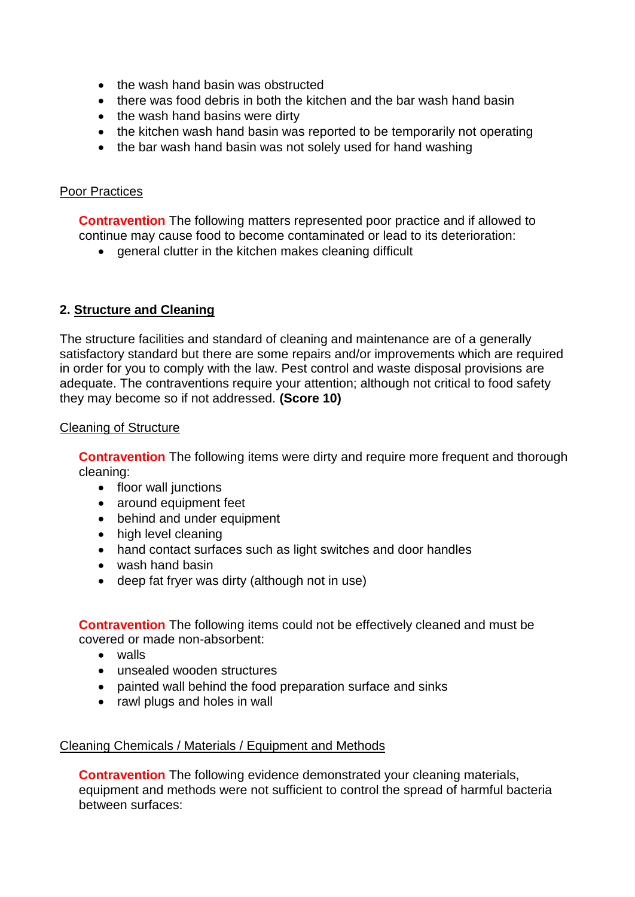- the wash hand basin was obstructed
- there was food debris in both the kitchen and the bar wash hand basin
- the wash hand basins were dirty
- the kitchen wash hand basin was reported to be temporarily not operating
- the bar wash hand basin was not solely used for hand washing

### Poor Practices

**Contravention** The following matters represented poor practice and if allowed to continue may cause food to become contaminated or lead to its deterioration:

• general clutter in the kitchen makes cleaning difficult

# **2. Structure and Cleaning**

The structure facilities and standard of cleaning and maintenance are of a generally satisfactory standard but there are some repairs and/or improvements which are required in order for you to comply with the law. Pest control and waste disposal provisions are adequate. The contraventions require your attention; although not critical to food safety they may become so if not addressed. **(Score 10)**

### Cleaning of Structure

**Contravention** The following items were dirty and require more frequent and thorough cleaning:

- floor wall junctions
- around equipment feet
- behind and under equipment
- high level cleaning
- hand contact surfaces such as light switches and door handles
- wash hand basin
- deep fat fryer was dirty (although not in use)

**Contravention** The following items could not be effectively cleaned and must be covered or made non-absorbent:

- walls
- unsealed wooden structures
- painted wall behind the food preparation surface and sinks
- rawl plugs and holes in wall

### Cleaning Chemicals / Materials / Equipment and Methods

**Contravention** The following evidence demonstrated your cleaning materials, equipment and methods were not sufficient to control the spread of harmful bacteria between surfaces: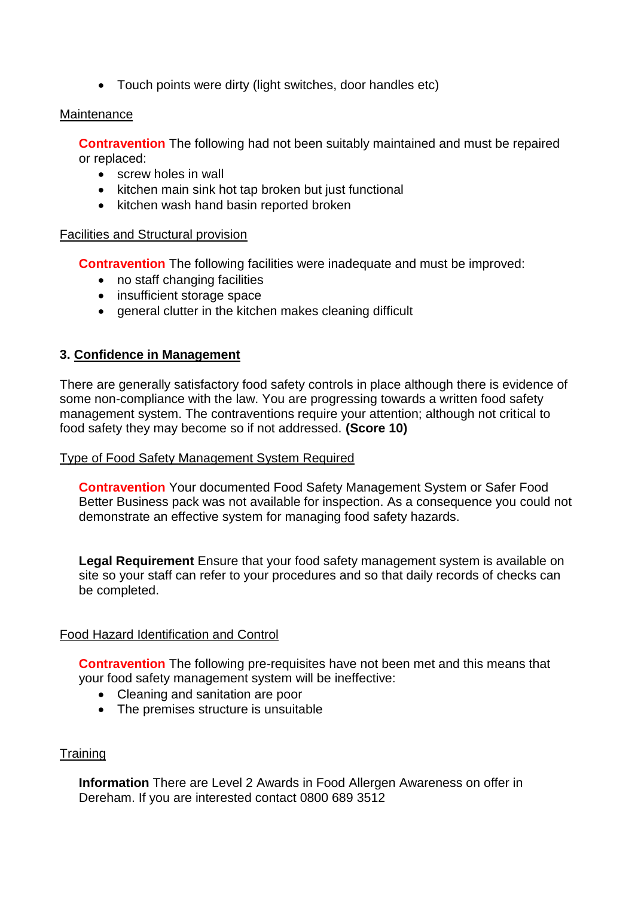Touch points were dirty (light switches, door handles etc)

#### **Maintenance**

**Contravention** The following had not been suitably maintained and must be repaired or replaced:

- screw holes in wall
- kitchen main sink hot tap broken but just functional
- kitchen wash hand basin reported broken

### Facilities and Structural provision

**Contravention** The following facilities were inadequate and must be improved:

- no staff changing facilities
- insufficient storage space
- general clutter in the kitchen makes cleaning difficult

# **3. Confidence in Management**

There are generally satisfactory food safety controls in place although there is evidence of some non-compliance with the law. You are progressing towards a written food safety management system. The contraventions require your attention; although not critical to food safety they may become so if not addressed. **(Score 10)**

### Type of Food Safety Management System Required

**Contravention** Your documented Food Safety Management System or Safer Food Better Business pack was not available for inspection. As a consequence you could not demonstrate an effective system for managing food safety hazards.

**Legal Requirement** Ensure that your food safety management system is available on site so your staff can refer to your procedures and so that daily records of checks can be completed.

### Food Hazard Identification and Control

**Contravention** The following pre-requisites have not been met and this means that your food safety management system will be ineffective:

- Cleaning and sanitation are poor
- The premises structure is unsuitable

### **Training**

**Information** There are Level 2 Awards in Food Allergen Awareness on offer in Dereham. If you are interested contact 0800 689 3512